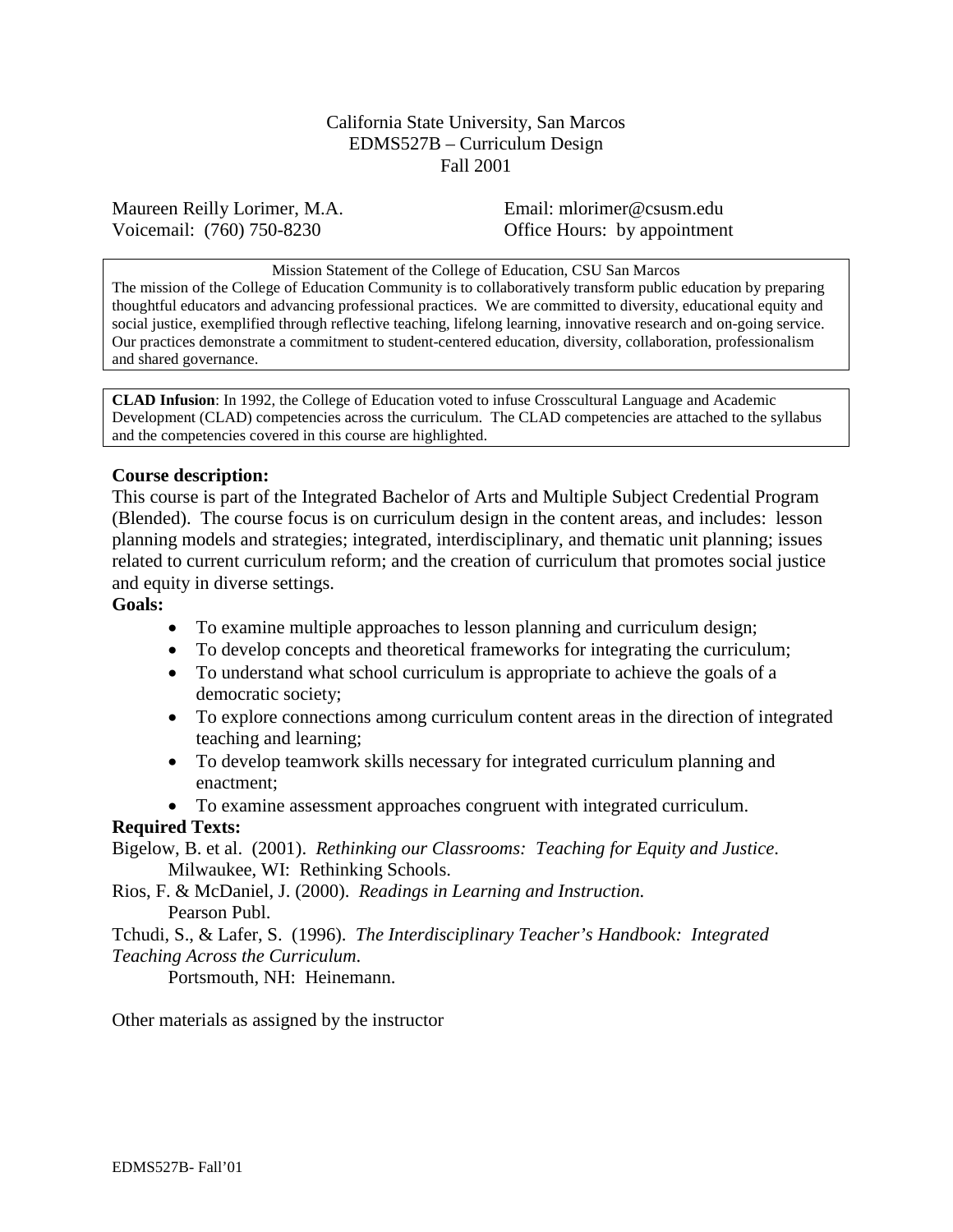California State University, San Marcos EDMS527B – Curriculum Design Fall 2001

Maureen Reilly Lorimer, M.A. Email: mlorimer@csusm.edu Voicemail: (760) 750-8230 Office Hours: by appointment

#### Mission Statement of the College of Education, CSU San Marcos

The mission of the College of Education Community is to collaboratively transform public education by preparing thoughtful educators and advancing professional practices. We are committed to diversity, educational equity and social justice, exemplified through reflective teaching, lifelong learning, innovative research and on-going service. Our practices demonstrate a commitment to student-centered education, diversity, collaboration, professionalism and shared governance.

**CLAD Infusion**: In 1992, the College of Education voted to infuse Crosscultural Language and Academic Development (CLAD) competencies across the curriculum. The CLAD competencies are attached to the syllabus and the competencies covered in this course are highlighted.

# **Course description:**

This course is part of the Integrated Bachelor of Arts and Multiple Subject Credential Program (Blended). The course focus is on curriculum design in the content areas, and includes: lesson planning models and strategies; integrated, interdisciplinary, and thematic unit planning; issues related to current curriculum reform; and the creation of curriculum that promotes social justice and equity in diverse settings.

# **Goals:**

- To examine multiple approaches to lesson planning and curriculum design;
- To develop concepts and theoretical frameworks for integrating the curriculum;
- To understand what school curriculum is appropriate to achieve the goals of a democratic society;
- To explore connections among curriculum content areas in the direction of integrated teaching and learning;
- To develop teamwork skills necessary for integrated curriculum planning and enactment;
- To examine assessment approaches congruent with integrated curriculum.

# **Required Texts:**

Bigelow, B. et al. (2001). *Rethinking our Classrooms: Teaching for Equity and Justice*. Milwaukee, WI: Rethinking Schools.

Rios, F. & McDaniel, J. (2000). *Readings in Learning and Instruction.* Pearson Publ.

Tchudi, S., & Lafer, S. (1996). *The Interdisciplinary Teacher's Handbook: Integrated Teaching Across the Curriculum*.

Portsmouth, NH: Heinemann.

Other materials as assigned by the instructor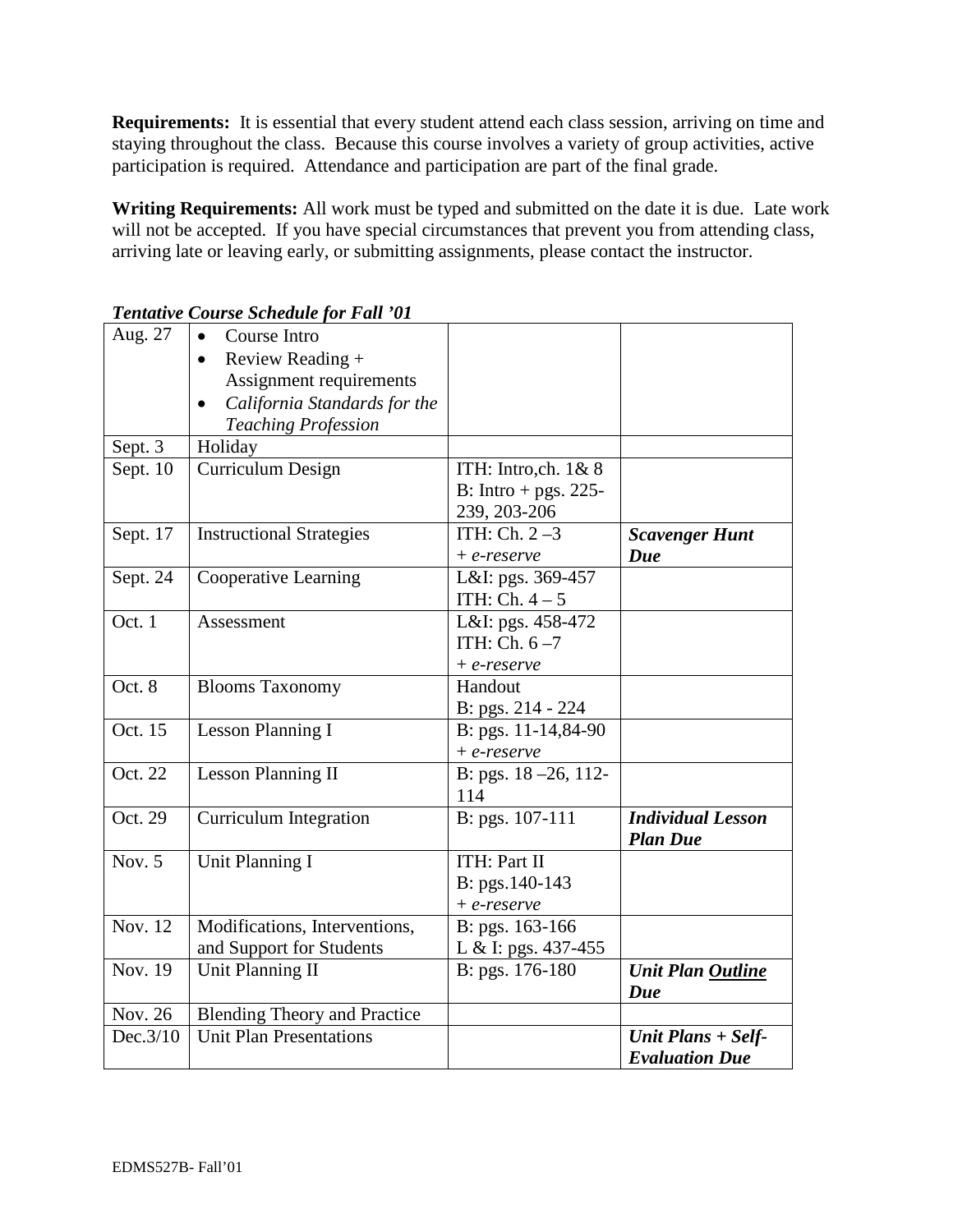**Requirements:** It is essential that every student attend each class session, arriving on time and staying throughout the class. Because this course involves a variety of group activities, active participation is required. Attendance and participation are part of the final grade.

**Writing Requirements:** All work must be typed and submitted on the date it is due. Late work will not be accepted. If you have special circumstances that prevent you from attending class, arriving late or leaving early, or submitting assignments, please contact the instructor.

| Aug. 27  | Course Intro<br>$\bullet$           |                        |                          |
|----------|-------------------------------------|------------------------|--------------------------|
|          | Review Reading +<br>$\bullet$       |                        |                          |
|          | Assignment requirements             |                        |                          |
|          | California Standards for the        |                        |                          |
|          | <b>Teaching Profession</b>          |                        |                          |
| Sept. 3  | Holiday                             |                        |                          |
| Sept. 10 | <b>Curriculum Design</b>            | ITH: Intro,ch. $1 & 8$ |                          |
|          |                                     | B: Intro + pgs. 225-   |                          |
|          |                                     | 239, 203-206           |                          |
| Sept. 17 | <b>Instructional Strategies</b>     | ITH: $Ch. 2-3$         | <b>Scavenger Hunt</b>    |
|          |                                     | $+ e$ -reserve         | Due                      |
| Sept. 24 | Cooperative Learning                | L&I: pgs. 369-457      |                          |
|          |                                     | ITH: Ch. $4-5$         |                          |
| Oct. 1   | Assessment                          | L&I: pgs. 458-472      |                          |
|          |                                     | ITH: Ch. $6-7$         |                          |
|          |                                     | $+ e$ -reserve         |                          |
| Oct. 8   | <b>Blooms Taxonomy</b>              | Handout                |                          |
|          |                                     | B: pgs. 214 - 224      |                          |
| Oct. 15  | <b>Lesson Planning I</b>            | B: pgs. 11-14,84-90    |                          |
|          |                                     | $+ e$ -reserve         |                          |
| Oct. 22  | <b>Lesson Planning II</b>           | B: pgs. 18 -26, 112-   |                          |
|          |                                     | 114                    |                          |
| Oct. 29  | <b>Curriculum Integration</b>       | B: pgs. 107-111        | <b>Individual Lesson</b> |
|          |                                     |                        | <b>Plan Due</b>          |
| Nov. $5$ | Unit Planning I                     | ITH: Part II           |                          |
|          |                                     | B: pgs.140-143         |                          |
|          |                                     | $+ e$ -reserve         |                          |
| Nov. 12  | Modifications, Interventions,       | B: pgs. 163-166        |                          |
|          | and Support for Students            | L & I: pgs. 437-455    |                          |
| Nov. 19  | <b>Unit Planning II</b>             | B: pgs. 176-180        | Unit Plan Outline        |
|          |                                     |                        | Due                      |
| Nov. 26  | <b>Blending Theory and Practice</b> |                        |                          |
| Dec.3/10 | <b>Unit Plan Presentations</b>      |                        | Unit Plans + Self-       |
|          |                                     |                        | <b>Evaluation Due</b>    |

*Tentative Course Schedule for Fall '01*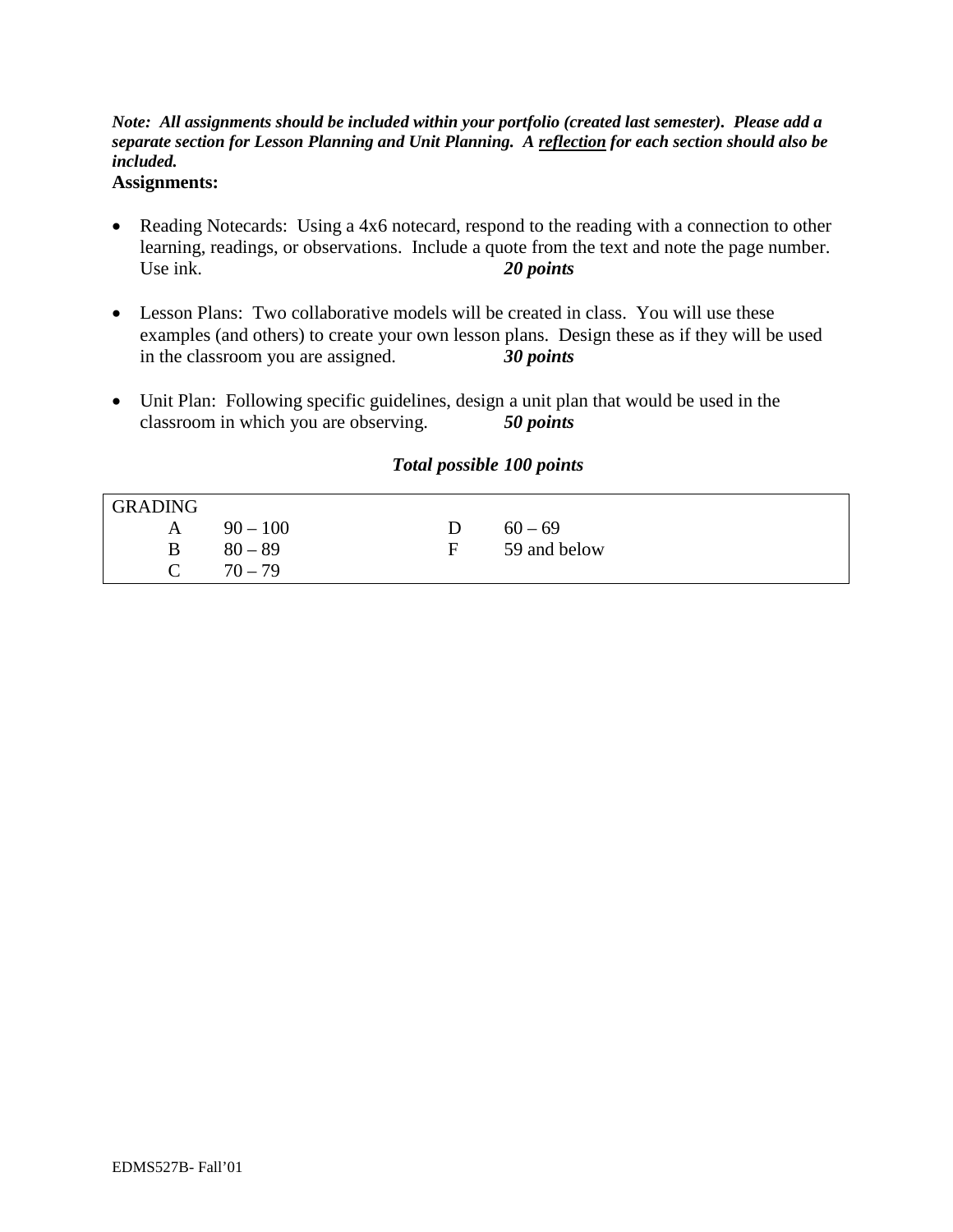# *Note: All assignments should be included within your portfolio (created last semester). Please add a separate section for Lesson Planning and Unit Planning. A reflection for each section should also be included.*

# **Assignments:**

- Reading Notecards: Using a 4x6 notecard, respond to the reading with a connection to other learning, readings, or observations. Include a quote from the text and note the page number. Use ink. **20 points**
- Lesson Plans: Two collaborative models will be created in class. You will use these examples (and others) to create your own lesson plans. Design these as if they will be used in the classroom you are assigned. *30 points*
- Unit Plan: Following specific guidelines, design a unit plan that would be used in the classroom in which you are observing. *50 points*

# *Total possible 100 points*

| <b>GRADING</b> |            |              |
|----------------|------------|--------------|
| A              | $90 - 100$ | $60 - 69$    |
| B              | $80 - 89$  | 59 and below |
|                | $70 - 79$  |              |